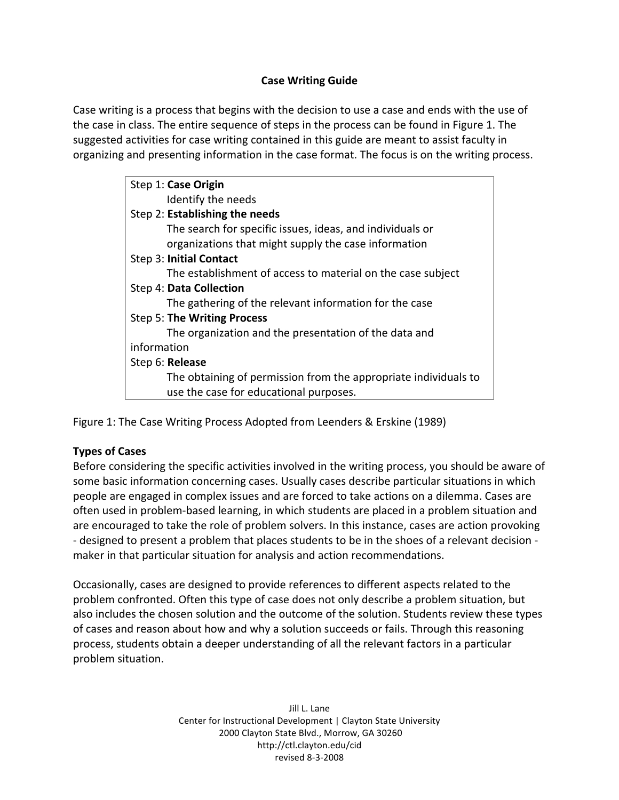# **Case Writing Guide**

Case writing is a process that begins with the decision to use a case and ends with the use of the case in class. The entire sequence of steps in the process can be found in Figure 1. The suggested activities for case writing contained in this guide are meant to assist faculty in organizing and presenting information in the case format. The focus is on the writing process.

| Step 1: Case Origin                                             |
|-----------------------------------------------------------------|
| Identify the needs                                              |
| Step 2: Establishing the needs                                  |
| The search for specific issues, ideas, and individuals or       |
| organizations that might supply the case information            |
| Step 3: Initial Contact                                         |
| The establishment of access to material on the case subject     |
| Step 4: Data Collection                                         |
| The gathering of the relevant information for the case          |
| Step 5: The Writing Process                                     |
| The organization and the presentation of the data and           |
| information                                                     |
| Step 6: Release                                                 |
| The obtaining of permission from the appropriate individuals to |
| use the case for educational purposes.                          |

Figure
1:
The
Case
Writing
Process
Adopted
from
Leenders
&
Erskine
(1989)

# **Types of Cases**

Before considering the specific activities involved in the writing process, you should be aware of some
basic
information
concerning
cases.
Usually
cases
describe
particular
situations
in
which people
are
engaged
in
complex
issues
and
are
forced
to
take
actions
on
a
dilemma.
Cases
are often used in problem-based learning, in which students are placed in a problem situation and are
encouraged
to
take
the
role
of
problem
solvers.
In
this
instance,
cases
are
action
provoking - designed to present a problem that places students to be in the shoes of a relevant decision maker
in
that
particular
situation
for
analysis
and
action
recommendations.

Occasionally, cases are designed to provide references to different aspects related to the problem confronted. Often this type of case does not only describe a problem situation, but also includes the chosen solution and the outcome of the solution. Students review these types of
cases
and
reason
about
how
and
why
a
solution
succeeds
or
fails.
Through
this
reasoning process,
students
obtain
a
deeper
understanding
of
all
the
relevant
factors
in
a
particular problem
situation.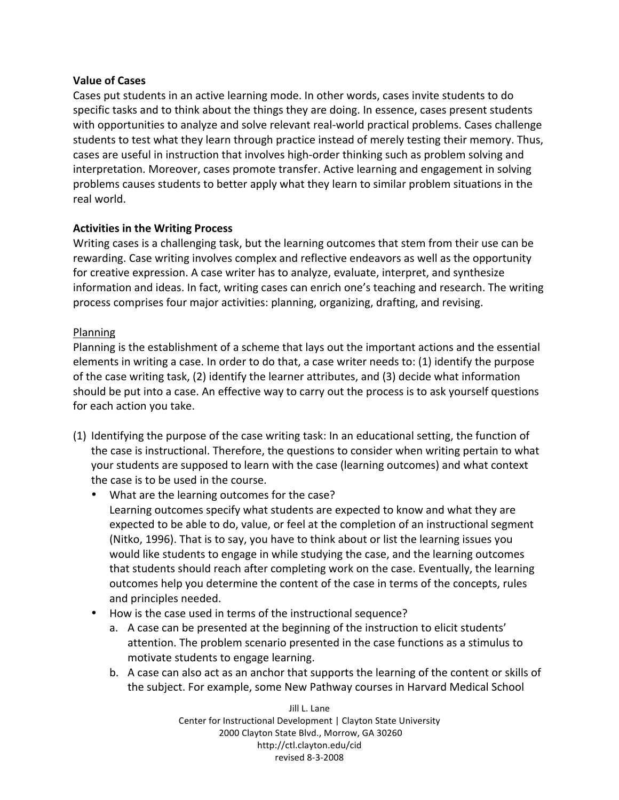## **Value of Cases**

Cases put students in an active learning mode. In other words, cases invite students to do specific tasks and to think about the things they are doing. In essence, cases present students with opportunities to analyze and solve relevant real-world practical problems. Cases challenge students to test what they learn through practice instead of merely testing their memory. Thus, cases are useful in instruction that involves high-order thinking such as problem solving and interpretation.
Moreover,
cases
promote
transfer.
Active
learning
and
engagement
in
solving problems causes students to better apply what they learn to similar problem situations in the real
world.

## **Activities in the Writing Process**

Writing cases is a challenging task, but the learning outcomes that stem from their use can be rewarding. Case writing involves complex and reflective endeavors as well as the opportunity for
creative
expression.
A
case
writer
has
to
analyze,
evaluate,
interpret,
and
synthesize information and ideas. In fact, writing cases can enrich one's teaching and research. The writing process
comprises
four
major
activities:
planning,
organizing,
drafting,
and
revising.

## Planning

Planning is the establishment of a scheme that lays out the important actions and the essential elements in writing a case. In order to do that, a case writer needs to: (1) identify the purpose of
the
case
writing
task,
(2)
identify
the
learner
attributes,
and
(3)
decide
what
information should be put into a case. An effective way to carry out the process is to ask yourself questions for
each
action
you
take.

- (1) Identifying
the
purpose
of
the
case
writing
task:
In
an
educational
setting,
the
function
of the case is instructional. Therefore, the questions to consider when writing pertain to what your students are supposed to learn with the case (learning outcomes) and what context the case is to be used in the course.
	- What are the learning outcomes for the case? Learning outcomes specify what students are expected to know and what they are expected to be able to do, value, or feel at the completion of an instructional segment (Nitko, 1996). That is to say, you have to think about or list the learning issues you would like students to engage in while studying the case, and the learning outcomes that students should reach after completing work on the case. Eventually, the learning outcomes
	help
	you
	determine
	the
	content
	of
	the
	case
	in
	terms
	of
	the
	concepts,
	rules and
	principles
	needed.
	- How is the case used in terms of the instructional sequence?
		- a. A case can be presented at the beginning of the instruction to elicit students' attention.
		The
		problem
		scenario
		presented
		in
		the
		case
		functions
		as
		a
		stimulus
		to motivate
		students
		to
		engage
		learning.
		- b. A case can also act as an anchor that supports the learning of the content or skills of the
		subject.
		For
		example,
		some
		New
		Pathway
		courses
		in
		Harvard
		Medical
		School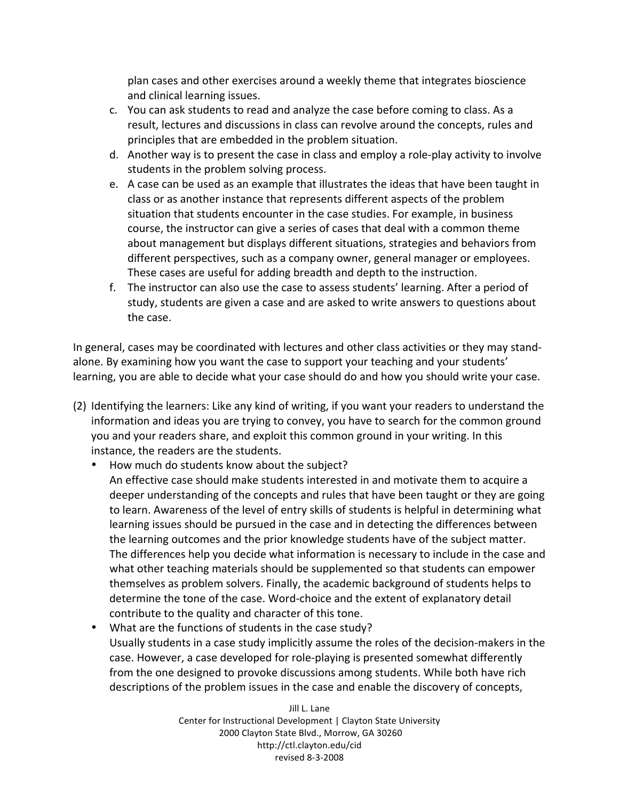plan
cases
and
other
exercises
around
a
weekly
theme
that
integrates
bioscience and
clinical
learning
issues.

- c. You can ask students to read and analyze the case before coming to class. As a result, lectures and discussions in class can revolve around the concepts, rules and principles
that
are
embedded
in
the
problem
situation.
- d. Another way is to present the case in class and employ a role-play activity to involve students
in
the
problem
solving
process.
- e. A case can be used as an example that illustrates the ideas that have been taught in class
or
as
another
instance
that
represents
different
aspects
of
the
problem situation that students encounter in the case studies. For example, in business course, the instructor can give a series of cases that deal with a common theme about management but displays different situations, strategies and behaviors from different
perspectives,
such
as
a
company
owner,
general
manager
or
employees. These
cases
are
useful
for
adding
breadth
and
depth
to
the
instruction.
- f. The instructor can also use the case to assess students' learning. After a period of study, students are given a case and are asked to write answers to questions about the
case.

In general, cases may be coordinated with lectures and other class activities or they may standalone.
By
examining
how
you
want
the
case
to
support
your
teaching
and
your
students' learning, you are able to decide what your case should do and how you should write your case.

- (2) Identifying
the
learners:
Like
any
kind
of
writing,
if
you
want
your
readers
to
understand
the information and ideas you are trying to convey, you have to search for the common ground you and your readers share, and exploit this common ground in your writing. In this instance,
the
readers
are
the
students.
	- How much do students know about the subject?
		- An effective case should make students interested in and motivate them to acquire a deeper understanding of the concepts and rules that have been taught or they are going to learn. Awareness of the level of entry skills of students is helpful in determining what learning issues should be pursued in the case and in detecting the differences between the learning outcomes and the prior knowledge students have of the subject matter. The differences help you decide what information is necessary to include in the case and what other teaching materials should be supplemented so that students can empower themselves
		as
		problem
		solvers.
		Finally,
		the
		academic
		background
		of
		students
		helps
		to determine the tone of the case. Word-choice and the extent of explanatory detail contribute
		to
		the
		quality
		and
		character
		of
		this
		tone.
	- What are the functions of students in the case study? Usually students in a case study implicitly assume the roles of the decision-makers in the case. However, a case developed for role-playing is presented somewhat differently from the one designed to provoke discussions among students. While both have rich descriptions of the problem issues in the case and enable the discovery of concepts,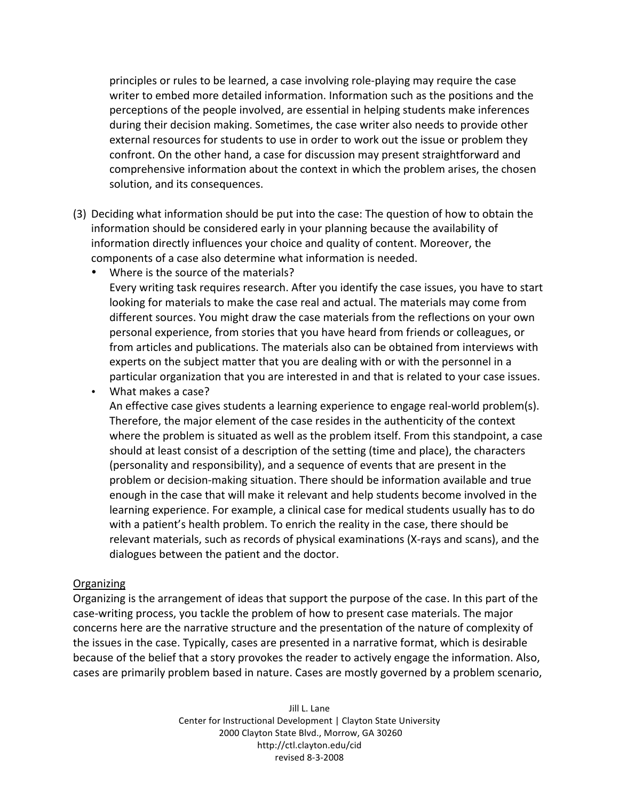principles
or
rules
to
be
learned,
a
case
involving
role‐playing
may
require
the
case writer to embed more detailed information. Information such as the positions and the perceptions of the people involved, are essential in helping students make inferences during their decision making. Sometimes, the case writer also needs to provide other external resources for students to use in order to work out the issue or problem they confront. On the other hand, a case for discussion may present straightforward and comprehensive information about the context in which the problem arises, the chosen solution,
and
its
consequences.

- (3) Deciding
what
information
should
be
put
into
the
case:
The
question
of
how
to
obtain
the information
should
be
considered
early
in
your
planning
because
the
availability
of information directly influences your choice and quality of content. Moreover, the components
of
a
case
also
determine
what
information
is
needed.
	- Where is the source of the materials?

Every writing task requires research. After you identify the case issues, you have to start looking for materials to make the case real and actual. The materials may come from different sources. You might draw the case materials from the reflections on your own personal
experience,
from
stories
that
you
have
heard
from
friends
or
colleagues,
or from
articles
and
publications.
The
materials
also
can
be
obtained
from
interviews
with experts on the subject matter that you are dealing with or with the personnel in a particular organization that you are interested in and that is related to your case issues.

• What
makes
a
case?

An
effective
case
gives
students
a
learning
experience
to
engage
real‐world
problem(s). Therefore,
the
major
element
of
the
case
resides
in
the
authenticity
of
the
context where the problem is situated as well as the problem itself. From this standpoint, a case should at least consist of a description of the setting (time and place), the characters (personality
and
responsibility),
and
a
sequence
of
events
that
are
present
in
the problem
or
decision‐making
situation.
There
should
be
information
available
and
true enough in the case that will make it relevant and help students become involved in the learning experience. For example, a clinical case for medical students usually has to do with a patient's health problem. To enrich the reality in the case, there should be relevant materials, such as records of physical examinations (X-rays and scans), and the dialogues
between
the
patient
and
the
doctor.

#### Organizing

Organizing is the arrangement of ideas that support the purpose of the case. In this part of the case‐writing
process,
you
tackle
the
problem
of
how
to
present
case
materials.
The
major concerns
here
are
the
narrative
structure
and
the
presentation
of
the
nature
of
complexity
of the
issues
in
the
case.
Typically,
cases
are
presented
in
a
narrative
format,
which
is
desirable because of the belief that a story provokes the reader to actively engage the information. Also, cases
are
primarily
problem
based
in
nature.
Cases
are
mostly
governed
by
a
problem
scenario,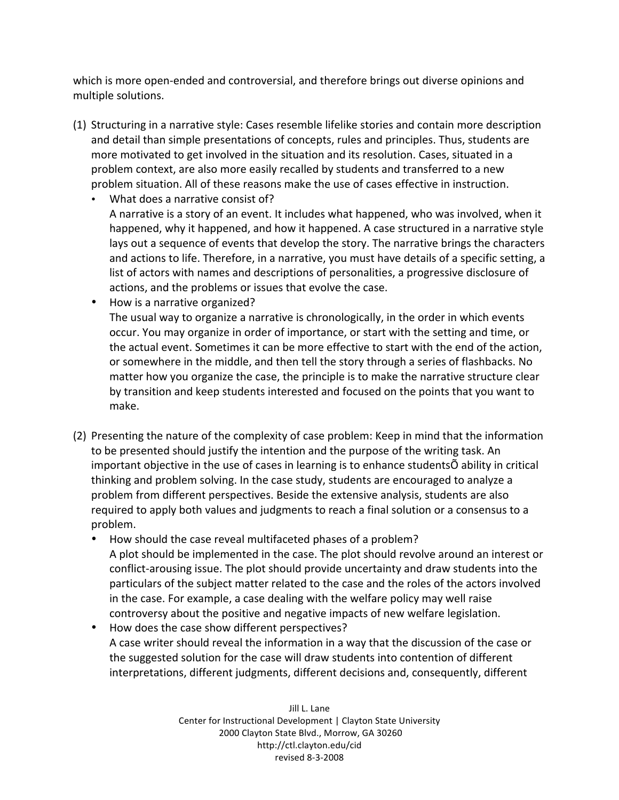which is more open-ended and controversial, and therefore brings out diverse opinions and multiple
solutions.

- (1) Structuring
in
a
narrative
style:
Cases
resemble
lifelike
stories
and
contain
more
description and
detail
than
simple
presentations
of
concepts,
rules
and
principles.
Thus,
students
are more motivated to get involved in the situation and its resolution. Cases, situated in a problem
context,
are
also
more
easily
recalled
by
students
and
transferred
to
a
new problem
situation.
All
of
these
reasons
make
the
use
of
cases
effective
in
instruction.
	- What does a narrative consist of? A narrative is a story of an event. It includes what happened, who was involved, when it happened, why it happened, and how it happened. A case structured in a narrative style lays out a sequence of events that develop the story. The narrative brings the characters and actions to life. Therefore, in a narrative, you must have details of a specific setting, a list of actors with names and descriptions of personalities, a progressive disclosure of actions,
	and
	the
	problems
	or
	issues
	that
	evolve
	the
	case.
	- How is a narrative organized? The usual way to organize a narrative is chronologically, in the order in which events occur. You may organize in order of importance, or start with the setting and time, or the actual event. Sometimes it can be more effective to start with the end of the action, or somewhere in the middle, and then tell the story through a series of flashbacks. No matter how you organize the case, the principle is to make the narrative structure clear by transition and keep students interested and focused on the points that you want to make.
- (2) Presenting the nature of the complexity of case problem: Keep in mind that the information to be presented should justify the intention and the purpose of the writing task. An important objective in the use of cases in learning is to enhance studentsÕ ability in critical thinking and problem solving. In the case study, students are encouraged to analyze a problem
from
different
perspectives.
Beside
the
extensive
analysis,
students
are
also required to apply both values and judgments to reach a final solution or a consensus to a problem.
	- How should the case reveal multifaceted phases of a problem? A plot should be implemented in the case. The plot should revolve around an interest or conflict-arousing issue. The plot should provide uncertainty and draw students into the particulars
	of
	the
	subject
	matter
	related
	to
	the
	case
	and
	the
	roles
	of
	the
	actors
	involved in the case. For example, a case dealing with the welfare policy may well raise controversy
	about
	the
	positive
	and
	negative
	impacts
	of
	new
	welfare
	legislation.
	- How does the case show different perspectives? A
	case
	writer
	should
	reveal
	the
	information
	in
	a
	way
	that
	the
	discussion
	of
	the
	case
	or the
	suggested
	solution
	for
	the
	case
	will
	draw
	students
	into
	contention
	of
	different interpretations, different judgments, different decisions
	and, consequently,
	different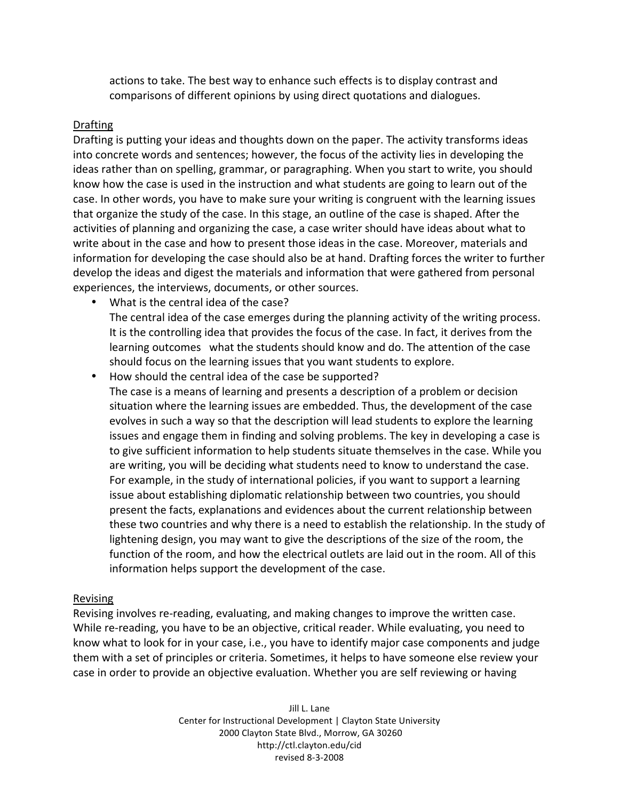actions to take. The best way to enhance such effects is to display contrast and comparisons
of
different
opinions
by
using
direct
quotations
and
dialogues.

#### Drafting

Drafting is putting your ideas and thoughts down on the paper. The activity transforms ideas into
concrete
words
and
sentences;
however,
the
focus
of
the
activity
lies
in
developing
the ideas rather than on spelling, grammar, or paragraphing. When you start to write, you should know how the case is used in the instruction and what students are going to learn out of the case.
In
other
words,
you
have
to
make
sure
your
writing
is
congruent
with
the
learning
issues that organize the study of the case. In this stage, an outline of the case is shaped. After the activities of planning and organizing the case, a case writer should have ideas about what to write about in the case and how to present those ideas in the case. Moreover, materials and information
for
developing
the
case
should
also
be
at
hand.
Drafting
forces
the
writer
to
further develop the ideas and digest the materials and information that were gathered from personal experiences,
the
interviews,
documents,
or
other
sources.

- What is the central idea of the case? The central idea of the case emerges during the planning activity of the writing process. It is the controlling idea that provides the focus of the case. In fact, it derives from the learning outcomes what the students should know and do. The attention of the case should
focus
on
the
learning
issues
that
you
want
students
to
explore.
- How should the central idea of the case be supported? The
case
is
a
means
of
learning
and
presents
a
description
of
a
problem
or
decision situation where the learning issues are embedded. Thus, the development of the case evolves in such a way so that the description will lead students to explore the learning issues and engage them in finding and solving problems. The key in developing a case is to give sufficient information to help students situate themselves in the case. While you are writing, you will be deciding what students need to know to understand the case. For example, in the study of international policies, if you want to support a learning issue about establishing diplomatic relationship between two countries, you should present
the
facts,
explanations
and
evidences
about
the
current
relationship
between these two countries and why there is a need to establish the relationship. In the study of lightening design, you may want to give the descriptions of the size of the room, the function of the room, and how the electrical outlets are laid out in the room. All of this information
helps
support
the
development
of
the
case.

#### Revising

Revising involves re-reading, evaluating, and making changes to improve the written case. While re-reading, you have to be an objective, critical reader. While evaluating, you need to know what to look for in your case, i.e., you have to identify major case components and judge them with a set of principles or criteria. Sometimes, it helps to have someone else review your case
in
order
to
provide
an
objective
evaluation.
Whether
you
are
self
reviewing
or
having